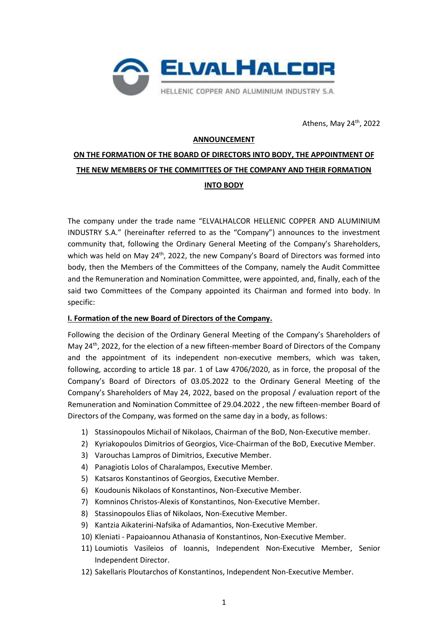

Athens, May  $24^{\text{th}}$ , 2022

#### **ANNOUNCEMENT**

# **ON THE FORMATION OF THE BOARD OF DIRECTORS INTO BODY, THE APPOINTMENT OF THE NEW MEMBERS OF THE COMMITTEES OF THE COMPANY AND THEIR FORMATION INTO BODY**

The company under the trade name "ELVALHALCOR HELLENIC COPPER AND ALUMINIUM INDUSTRY S.A." (hereinafter referred to as the "Company") announces to the investment community that, following the Ordinary General Meeting of the Company's Shareholders, which was held on May  $24<sup>th</sup>$ , 2022, the new Company's Board of Directors was formed into body, then the Members of the Committees of the Company, namely the Audit Committee and the Remuneration and Nomination Committee, were appointed, and, finally, each of the said two Committees of the Company appointed its Chairman and formed into body. In specific:

#### **Ι. Formation of the new Board of Directors of the Company.**

Following the decision of the Ordinary General Meeting of the Company's Shareholders of May 24<sup>th</sup>, 2022, for the election of a new fifteen-member Board of Directors of the Company and the appointment of its independent non-executive members, which was taken, following, according to article 18 par. 1 of Law 4706/2020, as in force, the proposal of the Company's Board of Directors of 03.05.2022 to the Ordinary General Meeting of the Company's Shareholders of May 24, 2022, based on the proposal / evaluation report of the Remuneration and Nomination Committee of 29.04.2022 , the new fifteen-member Board of Directors of the Company, was formed on the same day in a body, as follows:

- 1) Stassinopoulos Michail of Nikolaos, Chairman of the BoD, Non-Executive member.
- 2) Kyriakopoulos Dimitrios of Georgios, Vice-Chairman of the BoD, Executive Member.
- 3) Varouchas Lampros of Dimitrios, Executive Member.
- 4) Panagiotis Lolos of Charalampos, Executive Member.
- 5) Katsaros Konstantinos of Georgios, Executive Member.
- 6) Koudounis Nikolaos of Konstantinos, Non-Executive Member.
- 7) Komninos Christos-Alexis of Konstantinos, Non-Executive Member.
- 8) Stassinopoulos Elias of Nikolaos, Non-Executive Member.
- 9) Kantzia Aikaterini-Nafsika of Adamantios, Non-Executive Member.
- 10) Kleniati Papaioannou Athanasia of Konstantinos, Non-Executive Member.
- 11) Loumiotis Vasileios of Ioannis, Independent Non-Executive Member, Senior Independent Director.
- 12) Sakellaris Ploutarchos of Konstantinos, Independent Non-Executive Member.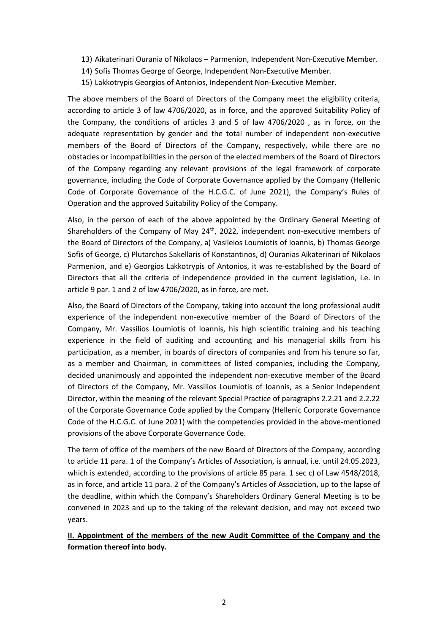- 13) Aikaterinari Ourania of Nikolaos Parmenion, Independent Non-Executive Member.
- 14) Sofis Thomas George of George, Independent Non-Executive Member.
- 15) Lakkotrypis Georgios of Antonios, Independent Non-Executive Member.

The above members of the Board of Directors of the Company meet the eligibility criteria, according to article 3 of law 4706/2020, as in force, and the approved Suitability Policy of the Company, the conditions of articles 3 and 5 of law 4706/2020 , as in force, on the adequate representation by gender and the total number of independent non-executive members of the Board of Directors of the Company, respectively, while there are no obstacles or incompatibilities in the person of the elected members of the Board of Directors of the Company regarding any relevant provisions of the legal framework of corporate governance, including the Code of Corporate Governance applied by the Company (Hellenic Code of Corporate Governance of the H.C.G.C. of June 2021), the Company's Rules of Operation and the approved Suitability Policy of the Company.

Also, in the person of each of the above appointed by the Ordinary General Meeting of Shareholders of the Company of May 24<sup>th</sup>, 2022, independent non-executive members of the Board of Directors of the Company, a) Vasileios Loumiotis of Ioannis, b) Thomas George Sofis of George, c) Plutarchos Sakellaris of Konstantinos, d) Ouranias Aikaterinari of Nikolaos Parmenion, and e) Georgios Lakkotrypis of Antonios, it was re-established by the Board of Directors that all the criteria of independence provided in the current legislation, i.e. in article 9 par. 1 and 2 of law 4706/2020, as in force, are met.

Also, the Board of Directors of the Company, taking into account the long professional audit experience of the independent non-executive member of the Board of Directors of the Company, Mr. Vassilios Loumiotis of Ioannis, his high scientific training and his teaching experience in the field of auditing and accounting and his managerial skills from his participation, as a member, in boards of directors of companies and from his tenure so far, as a member and Chairman, in committees of listed companies, including the Company, decided unanimously and appointed the independent non-executive member of the Board of Directors of the Company, Mr. Vassilios Loumiotis of Ioannis, as a Senior Independent Director, within the meaning of the relevant Special Practice of paragraphs 2.2.21 and 2.2.22 of the Corporate Governance Code applied by the Company (Hellenic Corporate Governance Code of the H.C.G.C. of June 2021) with the competencies provided in the above-mentioned provisions of the above Corporate Governance Code.

The term of office of the members of the new Board of Directors of the Company, according to article 11 para. 1 of the Company's Articles of Association, is annual, i.e. until 24.05.2023, which is extended, according to the provisions of article 85 para. 1 sec c) of Law 4548/2018, as in force, and article 11 para. 2 of the Company's Articles of Association, up to the lapse of the deadline, within which the Company's Shareholders Ordinary General Meeting is to be convened in 2023 and up to the taking of the relevant decision, and may not exceed two years.

## **ΙΙ. Appointment of the members of the new Audit Committee of the Company and the formation thereof into body.**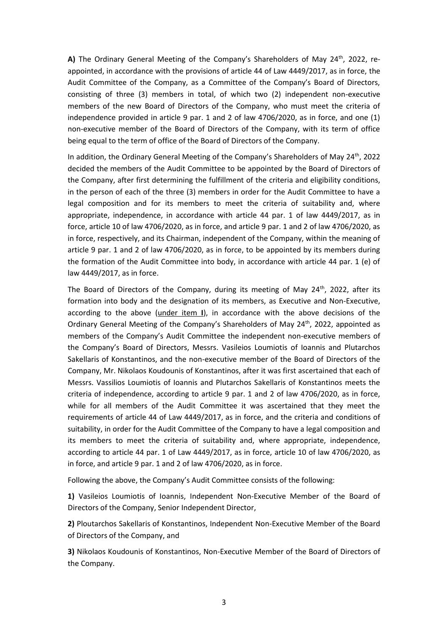**Α)** The Ordinary General Meeting of the Company's Shareholders of May 24th, 2022, reappointed, in accordance with the provisions of article 44 of Law 4449/2017, as in force, the Audit Committee of the Company, as a Committee of the Company's Board of Directors, consisting of three (3) members in total, of which two (2) independent non-executive members of the new Board of Directors of the Company, who must meet the criteria of independence provided in article 9 par. 1 and 2 of law 4706/2020, as in force, and one (1) non-executive member of the Board of Directors of the Company, with its term of office being equal to the term of office of the Board of Directors of the Company.

In addition, the Ordinary General Meeting of the Company's Shareholders of May 24<sup>th</sup>, 2022 decided the members of the Audit Committee to be appointed by the Board of Directors of the Company, after first determining the fulfillment of the criteria and eligibility conditions, in the person of each of the three (3) members in order for the Audit Committee to have a legal composition and for its members to meet the criteria of suitability and, where appropriate, independence, in accordance with article 44 par. 1 of law 4449/2017, as in force, article 10 of law 4706/2020, as in force, and article 9 par. 1 and 2 of law 4706/2020, as in force, respectively, and its Chairman, independent of the Company, within the meaning of article 9 par. 1 and 2 of law 4706/2020, as in force, to be appointed by its members during the formation of the Audit Committee into body, in accordance with article 44 par. 1 (e) of law 4449/2017, as in force.

The Board of Directors of the Company, during its meeting of May  $24<sup>th</sup>$ , 2022, after its formation into body and the designation of its members, as Executive and Non-Executive, according to the above (under item **I**), in accordance with the above decisions of the Ordinary General Meeting of the Company's Shareholders of May 24<sup>th</sup>, 2022, appointed as members of the Company's Audit Committee the independent non-executive members of the Company's Board of Directors, Messrs. Vasileios Loumiotis of Ioannis and Plutarchos Sakellaris of Konstantinos, and the non-executive member of the Board of Directors of the Company, Mr. Nikolaos Koudounis of Konstantinos, after it was first ascertained that each of Messrs. Vassilios Loumiotis of Ioannis and Plutarchos Sakellaris of Konstantinos meets the criteria of independence, according to article 9 par. 1 and 2 of law 4706/2020, as in force, while for all members of the Audit Committee it was ascertained that they meet the requirements of article 44 of Law 4449/2017, as in force, and the criteria and conditions of suitability, in order for the Audit Committee of the Company to have a legal composition and its members to meet the criteria of suitability and, where appropriate, independence, according to article 44 par. 1 of Law 4449/2017, as in force, article 10 of law 4706/2020, as in force, and article 9 par. 1 and 2 of law 4706/2020, as in force.

Following the above, the Company's Audit Committee consists of the following:

**1)** Vasileios Loumiotis of Ioannis, Independent Non-Executive Member of the Board of Directors of the Company, Senior Independent Director,

**2)** Ploutarchos Sakellaris of Konstantinos, Independent Non-Executive Member of the Board of Directors of the Company, and

**3)** Nikolaos Koudounis of Konstantinos, Non-Executive Member of the Board of Directors of the Company.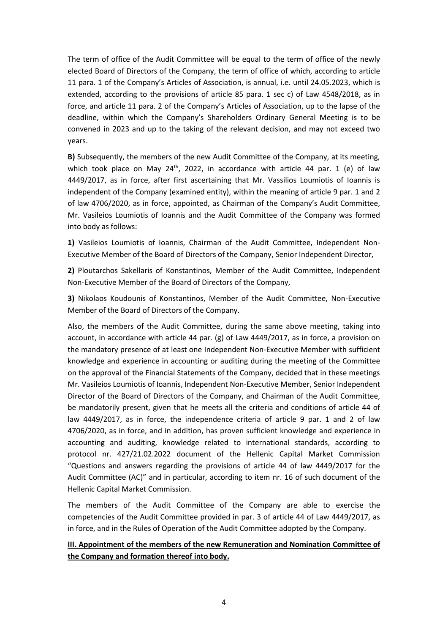The term of office of the Audit Committee will be equal to the term of office of the newly elected Board of Directors of the Company, the term of office of which, according to article 11 para. 1 of the Company's Articles of Association, is annual, i.e. until 24.05.2023, which is extended, according to the provisions of article 85 para. 1 sec c) of Law 4548/2018, as in force, and article 11 para. 2 of the Company's Articles of Association, up to the lapse of the deadline, within which the Company's Shareholders Ordinary General Meeting is to be convened in 2023 and up to the taking of the relevant decision, and may not exceed two years.

**B**) Subsequently, the members of the new Audit Committee of the Company, at its meeting, which took place on May  $24^{th}$ , 2022, in accordance with article 44 par. 1 (e) of law 4449/2017, as in force, after first ascertaining that Mr. Vassilios Loumiotis of Ioannis is independent of the Company (examined entity), within the meaning of article 9 par. 1 and 2 of law 4706/2020, as in force, appointed, as Chairman of the Company's Audit Committee, Mr. Vasileios Loumiotis of Ioannis and the Audit Committee of the Company was formed into body as follows:

**1)** Vasileios Loumiotis of Ioannis, Chairman of the Audit Committee, Independent Non-Executive Member of the Board of Directors of the Company, Senior Independent Director,

**2)** Ploutarchos Sakellaris of Konstantinos, Member of the Audit Committee, Independent Non-Executive Member of the Board of Directors of the Company,

**3)** Nikolaos Koudounis of Konstantinos, Member of the Audit Committee, Non-Executive Member of the Board of Directors of the Company.

Also, the members of the Audit Committee, during the same above meeting, taking into account, in accordance with article 44 par. (g) of Law 4449/2017, as in force, a provision on the mandatory presence of at least one Independent Non-Executive Member with sufficient knowledge and experience in accounting or auditing during the meeting of the Committee on the approval of the Financial Statements of the Company, decided that in these meetings Mr. Vasileios Loumiotis of Ioannis, Independent Non-Executive Member, Senior Independent Director of the Board of Directors of the Company, and Chairman of the Audit Committee, be mandatorily present, given that he meets all the criteria and conditions of article 44 of law 4449/2017, as in force, the independence criteria of article 9 par. 1 and 2 of law 4706/2020, as in force, and in addition, has proven sufficient knowledge and experience in accounting and auditing, knowledge related to international standards, according to protocol nr. 427/21.02.2022 document of the Hellenic Capital Market Commission "Questions and answers regarding the provisions of article 44 of law 4449/2017 for the Audit Committee (AC)" and in particular, according to item nr. 16 of such document of the Hellenic Capital Market Commission.

The members of the Audit Committee of the Company are able to exercise the competencies of the Audit Committee provided in par. 3 of article 44 of Law 4449/2017, as in force, and in the Rules of Operation of the Audit Committee adopted by the Company.

### **ΙΙΙ. Appointment of the members of the new Remuneration and Nomination Committee of the Company and formation thereof into body.**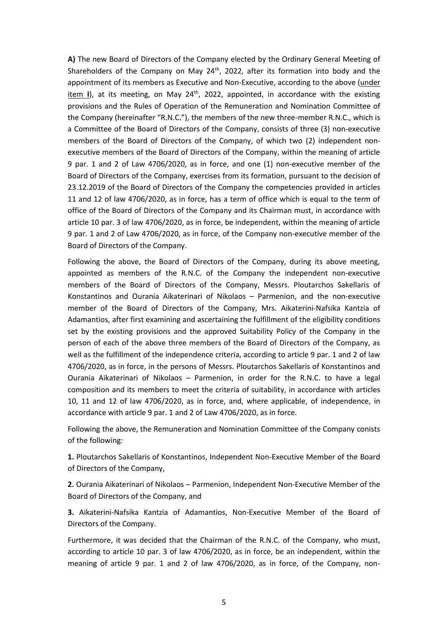**Α)** The new Board of Directors of the Company elected by the Ordinary General Meeting of Shareholders of the Company on May 24<sup>th</sup>, 2022, after its formation into body and the appointment of its members as Executive and Non-Executive, according to the above (under item I), at its meeting, on May 24<sup>th</sup>, 2022, appointed, in accordance with the existing provisions and the Rules of Operation of the Remuneration and Nomination Committee of the Company (hereinafter "R.N.C."), the members of the new three-member R.N.C., which is a Committee of the Board of Directors of the Company, consists of three (3) non-executive members of the Board of Directors of the Company, of which two (2) independent nonexecutive members of the Board of Directors of the Company, within the meaning of article 9 par. 1 and 2 of Law 4706/2020, as in force, and one (1) non-executive member of the Board of Directors of the Company, exercises from its formation, pursuant to the decision of 23.12.2019 of the Board of Directors of the Company the competencies provided in articles 11 and 12 of law 4706/2020, as in force, has a term of office which is equal to the term of office of the Board of Directors of the Company and its Chairman must, in accordance with article 10 par. 3 of law 4706/2020, as in force, be independent, within the meaning of article 9 par. 1 and 2 of Law 4706/2020, as in force, of the Company non-executive member of the Board of Directors of the Company.

Following the above, the Board of Directors of the Company, during its above meeting, appointed as members of the R.N.C. of the Company the independent non-executive members of the Board of Directors of the Company, Messrs. Ploutarchos Sakellaris of Konstantinos and Ourania Aikaterinari of Nikolaos – Parmenion, and the non-executive member of the Board of Directors of the Company, Mrs. Aikaterini-Nafsika Kantzia of Adamantios, after first examining and ascertaining the fulfillment of the eligibility conditions set by the existing provisions and the approved Suitability Policy of the Company in the person of each of the above three members of the Board of Directors of the Company, as well as the fulfillment of the independence criteria, according to article 9 par. 1 and 2 of law 4706/2020, as in force, in the persons of Messrs. Ploutarchos Sakellaris of Konstantinos and Ourania Aikaterinari of Nikolaos – Parmenion, in order for the R.N.C. to have a legal composition and its members to meet the criteria of suitability, in accordance with articles 10, 11 and 12 of law 4706/2020, as in force, and, where applicable, of independence, in accordance with article 9 par. 1 and 2 of Law 4706/2020, as in force.

Following the above, the Remuneration and Nomination Committee of the Company conists of the following:

**1.** Ploutarchos Sakellaris of Konstantinos, Independent Non-Executive Member of the Board of Directors of the Company,

**2.** Ourania Aikaterinari of Nikolaos – Parmenion, Independent Non-Executive Member of the Board of Directors of the Company, and

**3.** Aikaterini-Nafsika Kantzia of Adamantios, Non-Executive Member of the Board of Directors of the Company.

Furthermore, it was decided that the Chairman of the R.N.C. of the Company, who must, according to article 10 par. 3 of law 4706/2020, as in force, be an independent, within the meaning of article 9 par. 1 and 2 of law 4706/2020, as in force, of the Company, non